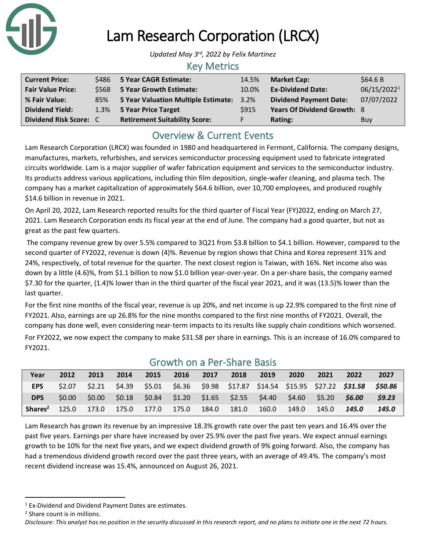

# Lam Research Corporation (LRCX)

*Updated May 3 rd, 2022 by Felix Martinez*

## Key Metrics

| <b>Current Price:</b>    |     | \$486 5 Year CAGR Estimate:              | 14.5% | <b>Market Cap:</b>                 | \$64.6B     |
|--------------------------|-----|------------------------------------------|-------|------------------------------------|-------------|
| <b>Fair Value Price:</b> |     | \$568 5 Year Growth Estimate:            | 10.0% | <b>Ex-Dividend Date:</b>           | 06/15/20221 |
| % Fair Value:            | 85% | 5 Year Valuation Multiple Estimate: 3.2% |       | <b>Dividend Payment Date:</b>      | 07/07/2022  |
| <b>Dividend Yield:</b>   |     | 1.3% 5 Year Price Target                 | S915  | <b>Years Of Dividend Growth: 8</b> |             |
| Dividend Risk Score: C   |     | <b>Retirement Suitability Score:</b>     |       | Rating:                            | Buy         |

## Overview & Current Events

Lam Research Corporation (LRCX) was founded in 1980 and headquartered in Fermont, California. The company designs, manufactures, markets, refurbishes, and services semiconductor processing equipment used to fabricate integrated circuits worldwide. Lam is a major supplier of wafer fabrication equipment and services to the semiconductor industry. Its products address various applications, including thin film deposition, single-wafer cleaning, and plasma tech. The company has a market capitalization of approximately \$64.6 billion, over 10,700 employees, and produced roughly \$14.6 billion in revenue in 2021.

On April 20, 2022, Lam Research reported results for the third quarter of Fiscal Year (FY)2022, ending on March 27, 2021. Lam Research Corporation ends its fiscal year at the end of June. The company had a good quarter, but not as great as the past few quarters.

The company revenue grew by over 5.5% compared to 3Q21 from \$3.8 billion to \$4.1 billion. However, compared to the second quarter of FY2022, revenue is down (4)%. Revenue by region shows that China and Korea represent 31% and 24%, respectively, of total revenue for the quarter. The next closest region is Taiwan, with 16%. Net income also was down by a little (4.6)%, from \$1.1 billion to now \$1.0 billion year-over-year. On a per-share basis, the company earned \$7.30 for the quarter, (1.4)% lower than in the third quarter of the fiscal year 2021, and it was (13.5)% lower than the last quarter.

For the first nine months of the fiscal year, revenue is up 20%, and net income is up 22.9% compared to the first nine of FY2021. Also, earnings are up 26.8% for the nine months compared to the first nine months of FY2021. Overall, the company has done well, even considering near-term impacts to its results like supply chain conditions which worsened.

For FY2022, we now expect the company to make \$31.58 per share in earnings. This is an increase of 16.0% compared to FY2021.

| Growth Off a Per-Share Dasis |        |       |       |       |       |       |                                                         |       |       |       |                                                                                                  |       |
|------------------------------|--------|-------|-------|-------|-------|-------|---------------------------------------------------------|-------|-------|-------|--------------------------------------------------------------------------------------------------|-------|
| Year                         | 2012   | 2013  | 2014  | 2015  | 2016  | 2017  | 2018                                                    | 2019  | 2020  | 2021  | 2022                                                                                             | 2027  |
| EPS                          |        |       |       |       |       |       |                                                         |       |       |       | \$2.07 \$2.21 \$4.39 \$5.01 \$6.36 \$9.98 \$17.87 \$14.54 \$15.95 \$27.22 <b>\$31.58 \$50.86</b> |       |
| <b>DPS</b>                   | \$0.00 | S0.00 |       |       |       |       | \$0.18 \$0.84 \$1.20 \$1.65 \$2.55 \$4.40 \$4.60 \$5.20 |       |       |       | <b>S6.00</b>                                                                                     | 59.23 |
| Shares <sup>2</sup>          | 125.0  | 173.0 | 175.0 | 177.0 | 175.0 | 184.0 | 181.0                                                   | 160.0 | 149.0 | 145.0 | 145.0                                                                                            | 145.0 |

### Growth on a Per-Share Basis

Lam Research has grown its revenue by an impressive 18.3% growth rate over the past ten years and 16.4% over the past five years. Earnings per share have increased by over 25.9% over the past five years. We expect annual earnings growth to be 10% for the next five years, and we expect dividend growth of 9% going forward. Also, the company has had a tremendous dividend growth record over the past three years, with an average of 49.4%. The company's most recent dividend increase was 15.4%, announced on August 26, 2021.

<sup>1</sup> Ex-Dividend and Dividend Payment Dates are estimates.

<sup>2</sup> Share count is in millions.

*Disclosure: This analyst has no position in the security discussed in this research report, and no plans to initiate one in the next 72 hours.*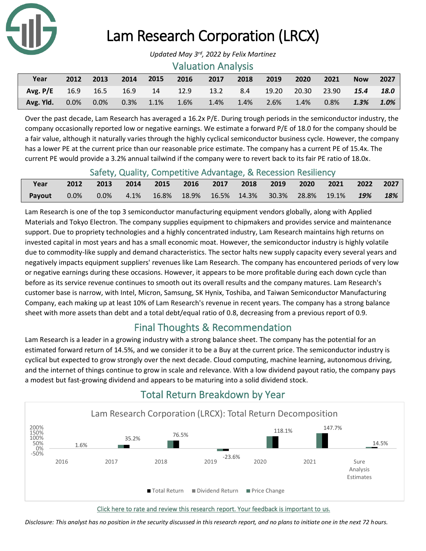

# Lam Research Corporation (LRCX)

#### Valuation Analysis

| Year                                                            | 2012 2013 | 2014 | $2015$ 2016 | $\sim$ 2017 | 2018 | 2019 2020 | 2021         | <b>Now</b> | 2027    |
|-----------------------------------------------------------------|-----------|------|-------------|-------------|------|-----------|--------------|------------|---------|
| Avg. P/E 16.9 16.5 16.9 14 12.9 13.2 8.4 19.20 20.30 23.90 15.4 |           |      |             |             |      |           |              |            | 18.0    |
| Avg. Yld. 0.0% 0.0% 0.3% 1.1% 1.6% 1.4% 1.4% 2.6% 1.4%          |           |      |             |             |      |           | $0.8\%$ 1.3% |            | $1.0\%$ |

Over the past decade, Lam Research has averaged a 16.2x P/E. During trough periods in the semiconductor industry, the company occasionally reported low or negative earnings. We estimate a forward P/E of 18.0 for the company should be a fair value, although it naturally varies through the highly cyclical semiconductor business cycle. However, the company has a lower PE at the current price than our reasonable price estimate. The company has a current PE of 15.4x. The current PE would provide a 3.2% annual tailwind if the company were to revert back to its fair PE ratio of 18.0x.

#### Safety, Quality, Competitive Advantage, & Recession Resiliency

|             | <u>carety, quality, competitive, iavaillage, a hecession hesiliche,</u> |  |  |  |  |     |
|-------------|-------------------------------------------------------------------------|--|--|--|--|-----|
| Year        | 2012 2013 2014 2015 2016 2017 2018 2019 2020 2021 2022 2027             |  |  |  |  |     |
| Payout 0.0% | $0.0\%$ 4.1% 16.8% 18.9% 16.5% 14.3% 30.3% 28.8% 19.1% <b>19%</b>       |  |  |  |  | 18% |

Lam Research is one of the top 3 semiconductor manufacturing equipment vendors globally, along with Applied Materials and Tokyo Electron. The company supplies equipment to chipmakers and provides service and maintenance support. Due to propriety technologies and a highly concentrated industry, Lam Research maintains high returns on invested capital in most years and has a small economic moat. However, the semiconductor industry is highly volatile due to commodity-like supply and demand characteristics. The sector halts new supply capacity every several years and negatively impacts equipment suppliers' revenues like Lam Research. The company has encountered periods of very low or negative earnings during these occasions. However, it appears to be more profitable during each down cycle than before as its service revenue continues to smooth out its overall results and the company matures. Lam Research's customer base is narrow, with Intel, Micron, Samsung, SK Hynix, Toshiba, and Taiwan Semiconductor Manufacturing Company, each making up at least 10% of Lam Research's revenue in recent years. The company has a strong balance sheet with more assets than debt and a total debt/equal ratio of 0.8, decreasing from a previous report of 0.9.

## Final Thoughts & Recommendation

Lam Research is a leader in a growing industry with a strong balance sheet. The company has the potential for an estimated forward return of 14.5%, and we consider it to be a Buy at the current price. The semiconductor industry is cyclical but expected to grow strongly over the next decade. Cloud computing, machine learning, autonomous driving, and the internet of things continue to grow in scale and relevance. With a low dividend payout ratio, the company pays a modest but fast-growing dividend and appears to be maturing into a solid dividend stock.



## Total Return Breakdown by Year

Click here to rate and review this research report. Your feedback is important to us.

*Disclosure: This analyst has no position in the security discussed in this research report, and no plans to initiate one in the next 72 hours.*

*Updated May 3 rd, 2022 by Felix Martinez*